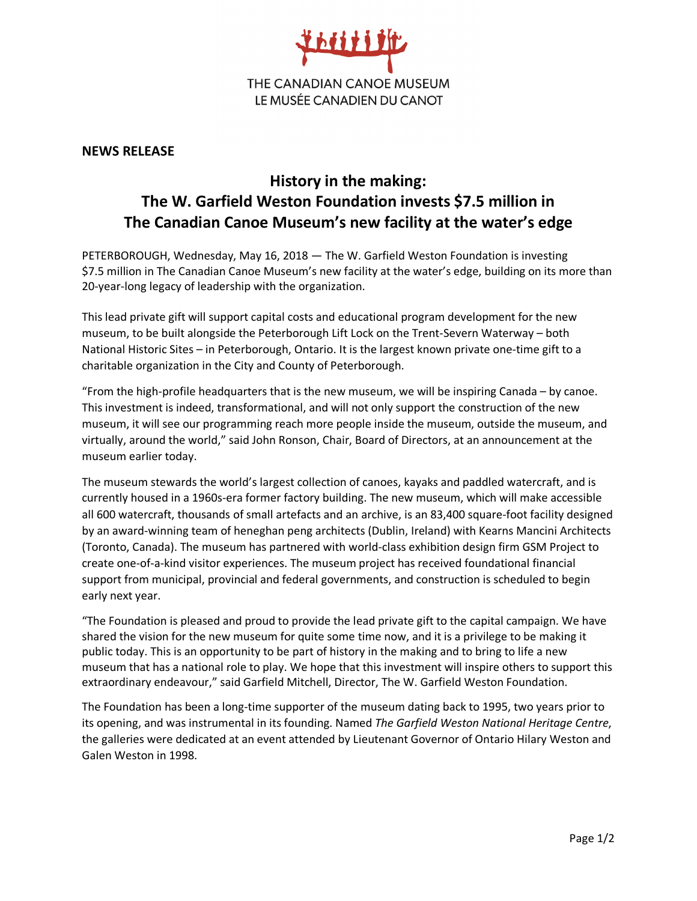

## **NEWS RELEASE**

# **History in the making: The W. Garfield Weston Foundation invests \$7.5 million in The Canadian Canoe Museum's new facility at the water's edge**

PETERBOROUGH, Wednesday, May 16, 2018 — The W. Garfield Weston Foundation is investing \$7.5 million in The Canadian Canoe Museum's new facility at the water's edge, building on its more than 20-year-long legacy of leadership with the organization.

This lead private gift will support capital costs and educational program development for the new museum, to be built alongside the Peterborough Lift Lock on the Trent-Severn Waterway – both National Historic Sites – in Peterborough, Ontario. It is the largest known private one-time gift to a charitable organization in the City and County of Peterborough.

"From the high-profile headquarters that is the new museum, we will be inspiring Canada – by canoe. This investment is indeed, transformational, and will not only support the construction of the new museum, it will see our programming reach more people inside the museum, outside the museum, and virtually, around the world," said John Ronson, Chair, Board of Directors, at an announcement at the museum earlier today.

The museum stewards the world's largest collection of canoes, kayaks and paddled watercraft, and is currently housed in a 1960s-era former factory building. The new museum, which will make accessible all 600 watercraft, thousands of small artefacts and an archive, is an 83,400 square-foot facility designed by an award-winning team of heneghan peng architects (Dublin, Ireland) with Kearns Mancini Architects (Toronto, Canada). The museum has partnered with world-class exhibition design firm GSM Project to create one-of-a-kind visitor experiences. The museum project has received foundational financial support from municipal, provincial and federal governments, and construction is scheduled to begin early next year.

"The Foundation is pleased and proud to provide the lead private gift to the capital campaign. We have shared the vision for the new museum for quite some time now, and it is a privilege to be making it public today. This is an opportunity to be part of history in the making and to bring to life a new museum that has a national role to play. We hope that this investment will inspire others to support this extraordinary endeavour," said Garfield Mitchell, Director, The W. Garfield Weston Foundation.

The Foundation has been a long-time supporter of the museum dating back to 1995, two years prior to its opening, and was instrumental in its founding. Named *The Garfield Weston National Heritage Centre*, the galleries were dedicated at an event attended by Lieutenant Governor of Ontario Hilary Weston and Galen Weston in 1998.